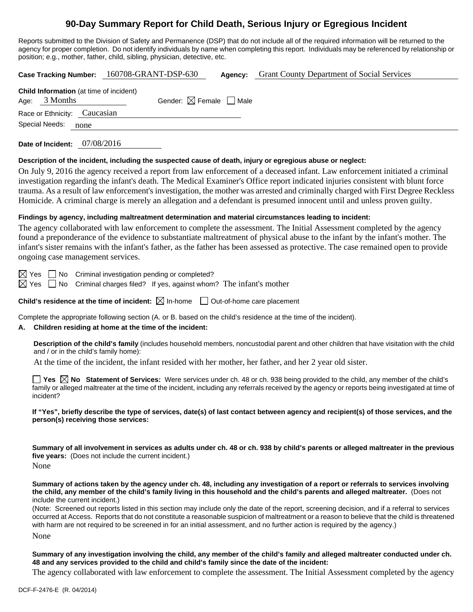# **90-Day Summary Report for Child Death, Serious Injury or Egregious Incident**

Reports submitted to the Division of Safety and Permanence (DSP) that do not include all of the required information will be returned to the agency for proper completion. Do not identify individuals by name when completing this report. Individuals may be referenced by relationship or position; e.g., mother, father, child, sibling, physician, detective, etc.

**Case Tracking Number:** 160708-GRANT-DSP-630 **Agency:** Grant County Department of Social Services **Child Information** (at time of incident) Age:  $3$  Months Gender:  $\boxtimes$  Female  $\Box$  Male Race or Ethnicity: Caucasian Special Needs: none

**Date of Incident:** 07/08/2016

## **Description of the incident, including the suspected cause of death, injury or egregious abuse or neglect:**

On July 9, 2016 the agency received a report from law enforcement of a deceased infant. Law enforcement initiated a criminal investigation regarding the infant's death. The Medical Examiner's Office report indicated injuries consistent with blunt force trauma. As a result of law enforcement's investigation, the mother was arrested and criminally charged with First Degree Reckless Homicide. A criminal charge is merely an allegation and a defendant is presumed innocent until and unless proven guilty.

## **Findings by agency, including maltreatment determination and material circumstances leading to incident:**

The agency collaborated with law enforcement to complete the assessment. The Initial Assessment completed by the agency found a preponderance of the evidence to substantiate maltreatment of physical abuse to the infant by the infant's mother. The infant's sister remains with the infant's father, as the father has been assessed as protective. The case remained open to provide ongoing case management services.

 $\boxtimes$  Yes  $\Box$  No Criminal investigation pending or completed?

 $\boxtimes$  Yes  $\Box$  No Criminal charges filed? If yes, against whom? The infant's mother

**Child's residence at the time of incident:**  $\boxtimes$  In-home  $\Box$  Out-of-home care placement

Complete the appropriate following section (A. or B. based on the child's residence at the time of the incident).

## **A. Children residing at home at the time of the incident:**

**Description of the child's family** (includes household members, noncustodial parent and other children that have visitation with the child and / or in the child's family home):

At the time of the incident, the infant resided with her mother, her father, and her 2 year old sister.

**Yes No Statement of Services:** Were services under ch. 48 or ch. 938 being provided to the child, any member of the child's family or alleged maltreater at the time of the incident, including any referrals received by the agency or reports being investigated at time of incident?

**If "Yes", briefly describe the type of services, date(s) of last contact between agency and recipient(s) of those services, and the person(s) receiving those services:** 

**Summary of all involvement in services as adults under ch. 48 or ch. 938 by child's parents or alleged maltreater in the previous five years:** (Does not include the current incident.) None

**Summary of actions taken by the agency under ch. 48, including any investigation of a report or referrals to services involving the child, any member of the child's family living in this household and the child's parents and alleged maltreater.** (Does not include the current incident.)

(Note: Screened out reports listed in this section may include only the date of the report, screening decision, and if a referral to services occurred at Access. Reports that do not constitute a reasonable suspicion of maltreatment or a reason to believe that the child is threatened with harm are not required to be screened in for an initial assessment, and no further action is required by the agency.)

None

**Summary of any investigation involving the child, any member of the child's family and alleged maltreater conducted under ch. 48 and any services provided to the child and child's family since the date of the incident:** 

The agency collaborated with law enforcement to complete the assessment. The Initial Assessment completed by the agency